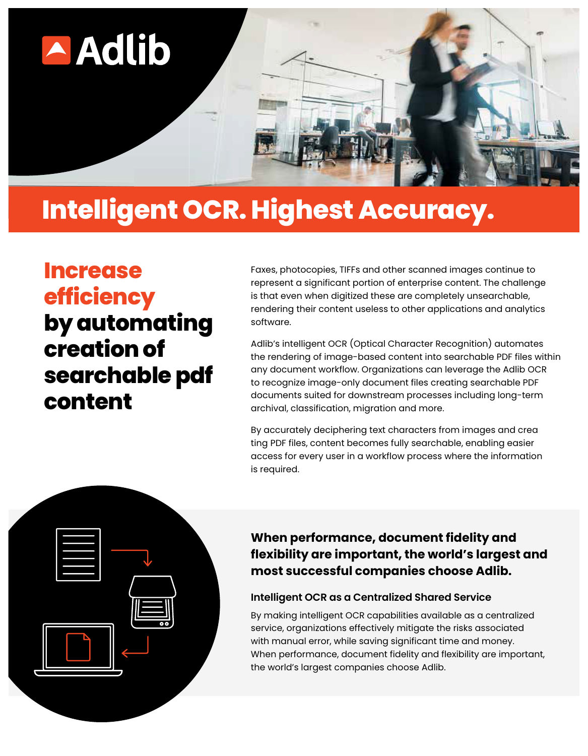

## **Intelligent OCR. Highest Accuracy.**

**Increase efficiency by automating creationof searchable pdf content**

Faxes, photocopies, TIFFs and other scanned images continue to represent a significant portion of enterprise content. The challenge is that even when digitized these are completely unsearchable, rendering their content useless to other applications and analytics software.

Adlib's intelligent OCR (Optical Character Recognition) automates the rendering of image-based content into searchable PDF files within any document workflow. Organizations can leverage the Adlib OCR to recognize image-only document files creating searchable PDF documents suited for downstream processes including long-term archival, classification, migration and more.

By accurately deciphering text characters from images and crea ting PDF files, content becomes fully searchable, enabling easier access for every user in a workflow process where the information is required.



## **When performance, document fidelity and flexibility are important, the world's largest and most successful companies choose Adlib.**

## **Intelligent OCR as a Centralized Shared Service**

By making intelligent OCR capabilities available as a centralized service, organizations effectively mitigate the risks associated with manual error, while saving significant time and money. When performance, document fidelity and flexibility are important, the world's largest companies choose Adlib.